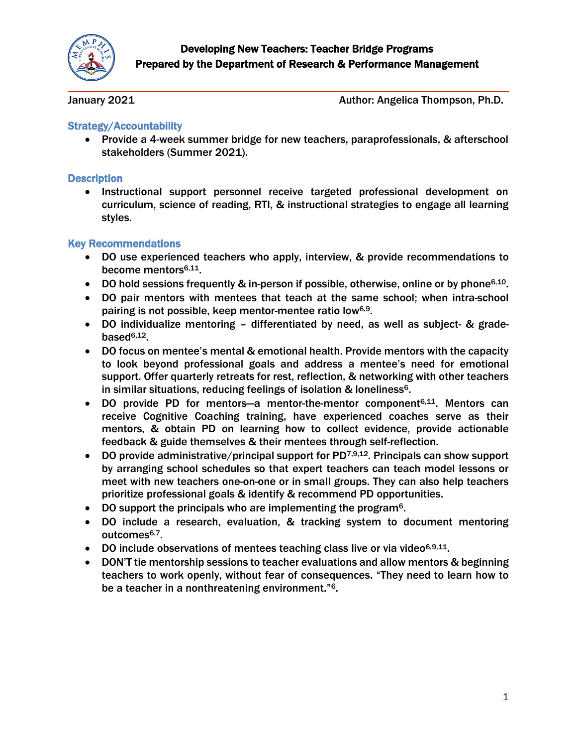

January 2021 **Author:** Author: Angelica Thompson, Ph.D.

## Strategy/Accountability

 Provide a 4-week summer bridge for new teachers, paraprofessionals, & afterschool stakeholders (Summer 2021).

## **Description**

• Instructional support personnel receive targeted professional development on curriculum, science of reading, RTI, & instructional strategies to engage all learning styles.

## Key Recommendations

- DO use experienced teachers who apply, interview, & provide recommendations to become mentors6,11.
- DO hold sessions frequently & in-person if possible, otherwise, online or by phone<sup>6,10</sup>.
- DO pair mentors with mentees that teach at the same school; when intra-school pairing is not possible, keep mentor-mentee ratio low6,9.
- DO individualize mentoring differentiated by need, as well as subject- & gradebased6,12.
- DO focus on mentee's mental & emotional health. Provide mentors with the capacity to look beyond professional goals and address a mentee's need for emotional support. Offer quarterly retreats for rest, reflection, & networking with other teachers in similar situations, reducing feelings of isolation & loneliness<sup>6</sup>.
- DO provide PD for mentors—a mentor-the-mentor component<sup>6,11</sup>. Mentors can receive Cognitive Coaching training, have experienced coaches serve as their mentors, & obtain PD on learning how to collect evidence, provide actionable feedback & guide themselves & their mentees through self-reflection.
- DO provide administrative/principal support for  $PD^{7,9,12}$ . Principals can show support by arranging school schedules so that expert teachers can teach model lessons or meet with new teachers one-on-one or in small groups. They can also help teachers prioritize professional goals & identify & recommend PD opportunities.
- DO support the principals who are implementing the program<sup>6</sup>.
- DO include a research, evaluation, & tracking system to document mentoring outcomes<sup>6,7</sup>.
- DO include observations of mentees teaching class live or via video $6,9,11$ .
- DON'T tie mentorship sessions to teacher evaluations and allow mentors & beginning teachers to work openly, without fear of consequences. "They need to learn how to be a teacher in a nonthreatening environment."6.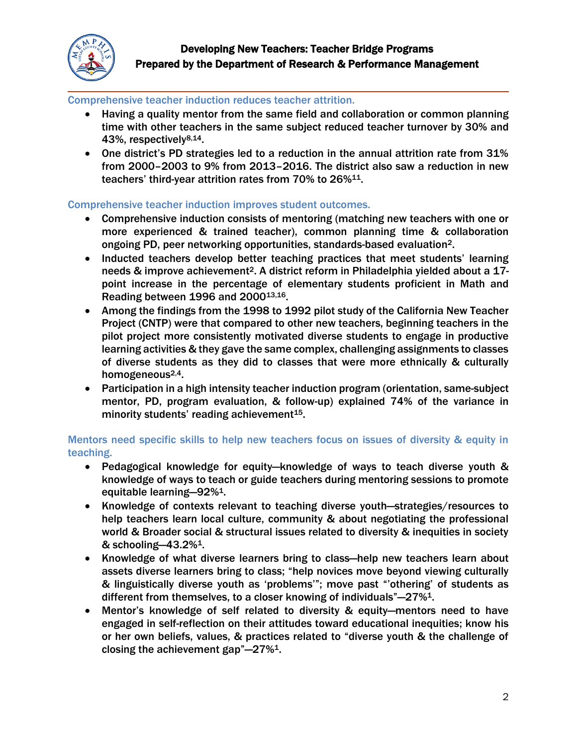

### Comprehensive teacher induction reduces teacher attrition.

- Having a quality mentor from the same field and collaboration or common planning time with other teachers in the same subject reduced teacher turnover by 30% and 43%, respectively8,14.
- One district's PD strategies led to a reduction in the annual attrition rate from 31% from 2000–2003 to 9% from 2013–2016. The district also saw a reduction in new teachers' third-year attrition rates from 70% to 26%11.

## Comprehensive teacher induction improves student outcomes.

- Comprehensive induction consists of mentoring (matching new teachers with one or more experienced & trained teacher), common planning time & collaboration ongoing PD, peer networking opportunities, standards-based evaluation2.
- Inducted teachers develop better teaching practices that meet students' learning needs & improve achievement<sup>2</sup>. A district reform in Philadelphia yielded about a 17point increase in the percentage of elementary students proficient in Math and Reading between 1996 and  $2000^{13,16}$ .
- Among the findings from the 1998 to 1992 pilot study of the California New Teacher Project (CNTP) were that compared to other new teachers, beginning teachers in the pilot project more consistently motivated diverse students to engage in productive learning activities & they gave the same complex, challenging assignments to classes of diverse students as they did to classes that were more ethnically & culturally homogeneous<sup>2,4</sup>.
- Participation in a high intensity teacher induction program (orientation, same-subject mentor, PD, program evaluation, & follow-up) explained 74% of the variance in minority students' reading achievement<sup>15</sup>.

# Mentors need specific skills to help new teachers focus on issues of diversity & equity in teaching.

- Pedagogical knowledge for equity—knowledge of ways to teach diverse youth & knowledge of ways to teach or guide teachers during mentoring sessions to promote equitable learning—92%1.
- Knowledge of contexts relevant to teaching diverse youth—strategies/resources to help teachers learn local culture, community & about negotiating the professional world & Broader social & structural issues related to diversity & inequities in society & schooling—43.2%1.
- Knowledge of what diverse learners bring to class—help new teachers learn about assets diverse learners bring to class; "help novices move beyond viewing culturally & linguistically diverse youth as 'problems'"; move past "'othering' of students as different from themselves, to a closer knowing of individuals"—27%1.
- Mentor's knowledge of self related to diversity & equity—mentors need to have engaged in self-reflection on their attitudes toward educational inequities; know his or her own beliefs, values, & practices related to "diverse youth & the challenge of closing the achievement gap"—27%1.